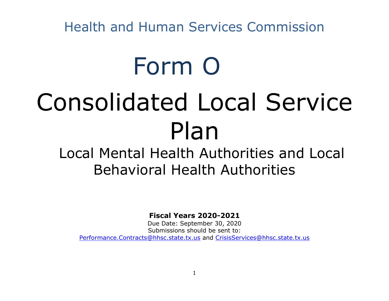# Form O

# Consolidated Local Service Plan

## Local Mental Health Authorities and Local Behavioral Health Authorities

**Fiscal Years 2020-2021**

Due Date: September 30, 2020 Submissions should be sent to: [Performance.Contracts@hhsc.state.tx.us](mailto:Performance.Contracts@hhsc.state.tx.us) and [CrisisServices@hhsc.state.tx.us](mailto:CrisisServices@hhsc.state.tx.us)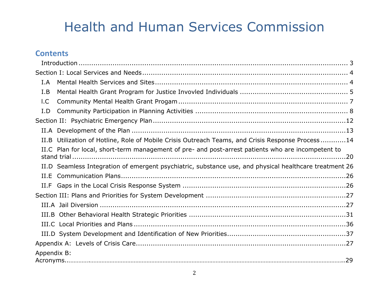### **Contents**

| I.A                                                                                                    |
|--------------------------------------------------------------------------------------------------------|
| I.B                                                                                                    |
| 1.C                                                                                                    |
| I.D                                                                                                    |
|                                                                                                        |
|                                                                                                        |
| II.B Utilization of Hotline, Role of Mobile Crisis Outreach Teams, and Crisis Response Process14       |
| II.C Plan for local, short-term management of pre- and post-arrest patients who are incompetent to     |
| II.D Seamless Integration of emergent psychiatric, substance use, and physical healthcare treatment 26 |
| II.E                                                                                                   |
|                                                                                                        |
|                                                                                                        |
|                                                                                                        |
|                                                                                                        |
|                                                                                                        |
|                                                                                                        |
|                                                                                                        |
| Appendix B:                                                                                            |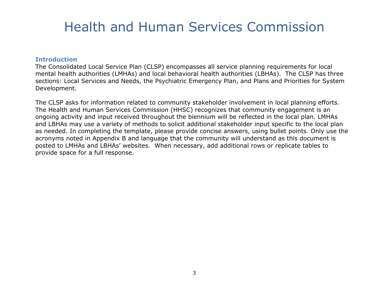#### <span id="page-2-0"></span>**Introduction**

The Consolidated Local Service Plan (CLSP) encompasses all service planning requirements for local mental health authorities (LMHAs) and local behavioral health authorities (LBHAs). The CLSP has three sections: Local Services and Needs, the Psychiatric Emergency Plan, and Plans and Priorities for System Development.

The CLSP asks for information related to community stakeholder involvement in local planning efforts. The Health and Human Services Commission (HHSC) recognizes that community engagement is an ongoing activity and input received throughout the biennium will be reflected in the local plan. LMHAs and LBHAs may use a variety of methods to solicit additional stakeholder input specific to the local plan as needed. In completing the template, please provide concise answers, using bullet points. Only use the acronyms noted in Appendix B and language that the community will understand as this document is posted to LMHAs and LBHAs' websites. When necessary, add additional rows or replicate tables to provide space for a full response.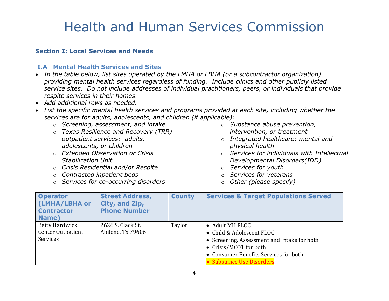#### <span id="page-3-1"></span><span id="page-3-0"></span>**Section I: Local Services and Needs**

#### **I.A Mental Health Services and Sites**

- *In the table below, list sites operated by the LMHA or LBHA (or a subcontractor organization) providing mental health services regardless of funding. Include clinics and other publicly listed service sites. Do not include addresses of individual practitioners, peers, or individuals that provide respite services in their homes.*
- *Add additional rows as needed.*
- *List the specific mental health services and programs provided at each site, including whether the services are for adults, adolescents, and children (if applicable):*
	- o *Screening, assessment, and intake*
	- o *Texas Resilience and Recovery (TRR) outpatient services: adults, adolescents, or children*
	- o *Extended Observation or Crisis Stabilization Unit*
	- o *Crisis Residential and/or Respite*
	- o *Contracted inpatient beds*
	- o *Services for co-occurring disorders*
- o *Substance abuse prevention, intervention, or treatment*
- o *Integrated healthcare: mental and physical health*
- o *Services for individuals with Intellectual Developmental Disorders(IDD)*
- o *Services for youth*
- o *Services for veterans*
- o *Other (please specify)*

| <b>Operator</b><br>(LMHA/LBHA or<br><b>Contractor</b><br>Name) | <b>Street Address,</b><br>City, and Zip,<br><b>Phone Number</b> | <b>County</b> | <b>Services &amp; Target Populations Served</b>                                                                                                                                                  |
|----------------------------------------------------------------|-----------------------------------------------------------------|---------------|--------------------------------------------------------------------------------------------------------------------------------------------------------------------------------------------------|
| <b>Betty Hardwick</b><br><b>Center Outpatient</b><br>Services  | 2626 S. Clack St.<br>Abilene, Tx 79606                          | Taylor        | • Adult MH FLOC<br>• Child & Adolescent FLOC<br>• Screening, Assessment and Intake for both<br>• Crisis/MCOT for both<br>• Consumer Benefits Services for both<br><b>Substance Use Disorders</b> |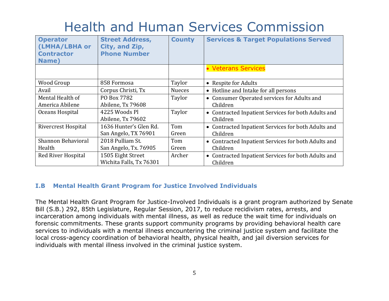| <b>Operator</b><br>(LMHA/LBHA or<br><b>Contractor</b><br>Name) | <b>Street Address,</b><br>City, and Zip,<br><b>Phone Number</b> | <b>County</b> | <b>Services &amp; Target Populations Served</b>     |
|----------------------------------------------------------------|-----------------------------------------------------------------|---------------|-----------------------------------------------------|
|                                                                |                                                                 |               | • Veterans Services                                 |
| Wood Group                                                     | 858 Formosa                                                     | Taylor        | • Respite for Adults                                |
| Avail                                                          | Corpus Christi, Tx                                              | <b>Nueces</b> | • Hotline and Intake for all persons                |
| Mental Health of                                               | PO Box 7782                                                     | Taylor        | • Consumer Operated services for Adults and         |
| America Abilene                                                | Abilene, Tx 79608                                               |               | Children                                            |
| Oceans Hospital                                                | 4225 Woods Pl                                                   | Taylor        | • Contracted Inpatient Services for both Adults and |
|                                                                | Abilene, Tx 79602                                               |               | Children                                            |
| <b>Rivercrest Hospital</b>                                     | 1636 Hunter's Glen Rd.                                          | Tom           | • Contracted Inpatient Services for both Adults and |
|                                                                | San Angelo, TX 76901                                            | Green         | Children                                            |
| Shannon Behavioral                                             | 2018 Pulliam St.                                                | Tom           | • Contracted Inpatient Services for both Adults and |
| Health                                                         | San Angelo, Tx. 76905                                           | Green         | Children                                            |
| Red River Hospital                                             | 1505 Eight Street                                               | Archer        | • Contracted Inpatient Services for both Adults and |
|                                                                | Wichita Falls, Tx 76301                                         |               | Children                                            |

#### <span id="page-4-0"></span>**I.B Mental Health Grant Program for Justice Involved Individuals**

The Mental Health Grant Program for Justice-Involved Individuals is a grant program authorized by Senate Bill (S.B.) 292, 85th Legislature, Regular Session, 2017, to reduce recidivism rates, arrests, and incarceration among individuals with mental illness, as well as reduce the wait time for individuals on forensic commitments. These grants support community programs by providing behavioral health care services to individuals with a mental illness encountering the criminal justice system and facilitate the local cross-agency coordination of behavioral health, physical health, and jail diversion services for individuals with mental illness involved in the criminal justice system.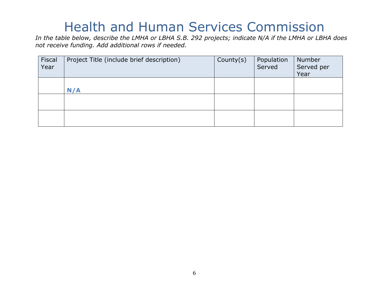*In the table below, describe the LMHA or LBHA S.B. 292 projects; indicate N/A if the LMHA or LBHA does not receive funding. Add additional rows if needed.*

| Fiscal<br>Year | Project Title (include brief description) | County $(s)$ | Population<br>Served | Number<br>Served per<br>Year |
|----------------|-------------------------------------------|--------------|----------------------|------------------------------|
|                | N/A                                       |              |                      |                              |
|                |                                           |              |                      |                              |
|                |                                           |              |                      |                              |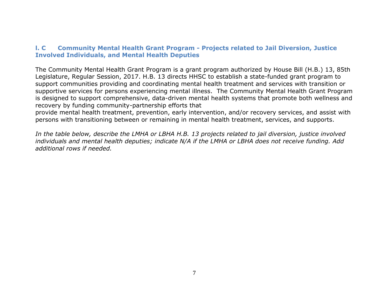#### <span id="page-6-0"></span>**l. C Community Mental Health Grant Program - Projects related to Jail Diversion, Justice Involved Individuals, and Mental Health Deputies**

The Community Mental Health Grant Program is a grant program authorized by House Bill (H.B.) 13, 85th Legislature, Regular Session, 2017. H.B. 13 directs HHSC to establish a state-funded grant program to support communities providing and coordinating mental health treatment and services with transition or supportive services for persons experiencing mental illness. The Community Mental Health Grant Program is designed to support comprehensive, data-driven mental health systems that promote both wellness and recovery by funding community-partnership efforts that

provide mental health treatment, prevention, early intervention, and/or recovery services, and assist with persons with transitioning between or remaining in mental health treatment, services, and supports.

*In the table below, describe the LMHA or LBHA H.B. 13 projects related to jail diversion, justice involved individuals and mental health deputies; indicate N/A if the LMHA or LBHA does not receive funding. Add additional rows if needed.*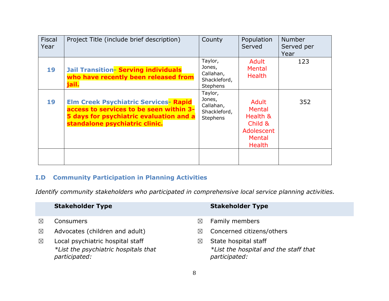| Fiscal<br>Year | Project Title (include brief description)                                                                                                                            | County                                                            | Population<br>Served                                                                   | <b>Number</b><br>Served per<br>Year |
|----------------|----------------------------------------------------------------------------------------------------------------------------------------------------------------------|-------------------------------------------------------------------|----------------------------------------------------------------------------------------|-------------------------------------|
| 19             | <b>Jail Transition- Serving individuals</b><br>who have recently been released from<br>jail.                                                                         | Taylor,<br>Jones,<br>Callahan,<br>Shackleford,<br><b>Stephens</b> | Adult<br><b>Mental</b><br><b>Health</b>                                                | 123                                 |
| 19             | <b>Elm Creek Psychiatric Services- Rapid</b><br>access to services to be seen within 3-<br>5 days for psychiatric evaluation and a<br>standalone psychiatric clinic. | Taylor,<br>Jones,<br>Callahan,<br>Shackleford,<br><b>Stephens</b> | Adult<br>Mental<br>Health &<br>Child &<br>Adolescent<br><b>Mental</b><br><b>Health</b> | 352                                 |

### <span id="page-7-0"></span>**I.D Community Participation in Planning Activities**

*Identify community stakeholders who participated in comprehensive local service planning activities.*

|             | <b>Stakeholder Type</b>                                                                   |             | <b>Stakeholder Type</b>                                                        |
|-------------|-------------------------------------------------------------------------------------------|-------------|--------------------------------------------------------------------------------|
| $\boxtimes$ | <b>Consumers</b>                                                                          | ⊠           | <b>Family members</b>                                                          |
| $\boxtimes$ | Advocates (children and adult)                                                            | $\boxtimes$ | Concerned citizens/others                                                      |
| $\boxtimes$ | Local psychiatric hospital staff<br>*List the psychiatric hospitals that<br>participated: | ⊠           | State hospital staff<br>*List the hospital and the staff that<br>participated: |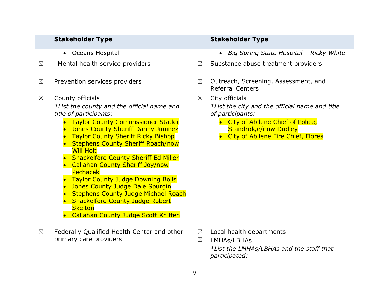- 
- 
- 
- $\boxtimes$  County officials *\*List the county and the official name and title of participants:*
	- Taylor County Commissioner Statler
	- Jones County Sheriff Danny Jiminez
	- Taylor County Sheriff Ricky Bishop
	- Stephens County Sheriff Roach/now Will Holt
	- Shackelford County Sheriff Ed Miller
	- Callahan County Sheriff Joy/now **Pechacek**
	- Taylor County Judge Downing Bolls
	- Jones County Judge Dale Spurgin
	- Stephens County Judge Michael Roach
	- Shackelford County Judge Robert **Skelton**
	- Callahan County Judge Scott Kniffen
- $\boxtimes$  Federally Qualified Health Center and other primary care providers

#### **Stakeholder Type Stakeholder Type**

- Oceans Hospital *Big Spring State Hospital – Ricky White*
- $\boxtimes$  Mental health service providers  $\boxtimes$  Substance abuse treatment providers
- $\boxtimes$  Prevention services providers  $\boxtimes$   $\boxtimes$  Outreach, Screening, Assessment, and Referral Centers
	- $\boxtimes$  City officials

*\*List the city and the official name and title of participants:*

- City of Abilene Chief of Police, Standridge/now Dudley
- City of Abilene Fire Chief, Flores

- ☒ Local health departments
- ☒ LMHAs/LBHAs *\*List the LMHAs/LBHAs and the staff that participated:*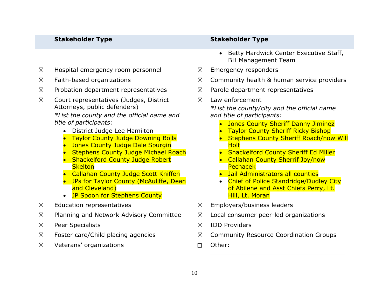- $\boxtimes$  Hospital emergency room personnel  $\boxtimes$  Emergency responders
- 
- $\boxtimes$  Probation department representatives  $\boxtimes$  Parole department representatives
- $\boxtimes$  Court representatives (Judges, District Attorneys, public defenders)

*\*List the county and the official name and title of participants:*

- District Judge Lee Hamilton
- Taylor County Judge Downing Bolls
- Jones County Judge Dale Spurgin
- Stephens County Judge Michael Roach
- Shackelford County Judge Robert **Skelton**
- Callahan County Judge Scott Kniffen
- JPs for Taylor County (McAuliffe, Dean and Cleveland)
- **JP Spoon for Stephens County**
- 
- $\boxtimes$  Planning and Network Advisory Committee  $\boxtimes$  Local consumer peer-led organizations
- ☒ Peer Specialists ☒ IDD Providers
- 
- ☒ Veterans' organizations ☐ Other:

#### **Stakeholder Type Stakeholder Type**

- Betty Hardwick Center Executive Staff, BH Management Team
- 
- $\boxtimes$  Faith-based organizations  $\boxtimes$   $\boxtimes$  Community health & human service providers
	-
	- $\boxtimes$  Law enforcement

*\*List the county/city and the official name and title of participants:*

- Jones County Sheriff Danny Jiminez
- Taylor County Sheriff Ricky Bishop
- Stephens County Sheriff Roach/now Will Holt
- Shackelford County Sheriff Ed Miller
- Callahan County Sherrif Joy/now Pechacek
- Jail Administrators all counties
- Chief of Police Standridge/Dudley City of Abilene and Asst Chiefs Perry, Lt. Hill, Lt. Moran
- $\boxtimes$  Education representatives  $\boxtimes$  Employers/business leaders
	-
	-
- $\boxtimes$  Foster care/Child placing agencies  $\boxtimes$  Community Resource Coordination Groups

\_\_\_\_\_\_\_\_\_\_\_\_\_\_\_\_\_\_\_\_\_\_\_\_\_\_\_\_\_\_\_\_\_\_\_\_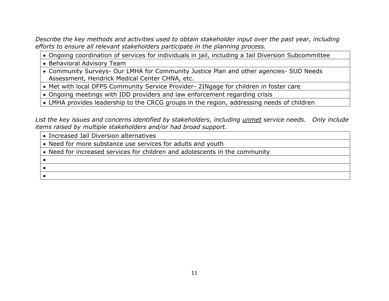*Describe the key methods and activities used to obtain stakeholder input over the past year, including efforts to ensure all relevant stakeholders participate in the planning process.* 

• Ongoing coordination of services for individuals in jail, including a Jail Diversion Subcommittee

• Behavioral Advisory Team

• Community Surveys- Our LMHA for Community Justice Plan and other agencies- SUD Needs Assessment, Hendrick Medical Center CHNA, etc.

• Met with local DFPS Community Service Provider- 2INgage for children in foster care

• Ongoing meetings with IDD providers and law enforcement regarding crisis

• LMHA provides leadership to the CRCG groups in the region, addressing needs of children

*List the key issues and concerns identified by stakeholders, including unmet service needs. Only include items raised by multiple stakeholders and/or had broad support.* 

| • Increased Jail Diversion alternatives                                     |
|-----------------------------------------------------------------------------|
| • Need for more substance use services for adults and youth                 |
| • Need for increased services for children and adolescents in the community |
|                                                                             |
|                                                                             |
|                                                                             |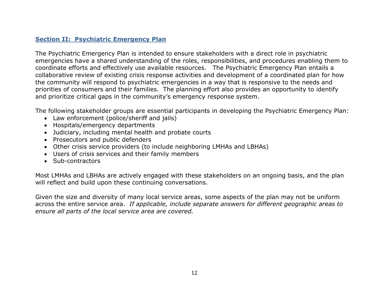#### <span id="page-11-0"></span>**Section II: Psychiatric Emergency Plan**

The Psychiatric Emergency Plan is intended to ensure stakeholders with a direct role in psychiatric emergencies have a shared understanding of the roles, responsibilities, and procedures enabling them to coordinate efforts and effectively use available resources. The Psychiatric Emergency Plan entails a collaborative review of existing crisis response activities and development of a coordinated plan for how the community will respond to psychiatric emergencies in a way that is responsive to the needs and priorities of consumers and their families. The planning effort also provides an opportunity to identify and prioritize critical gaps in the community's emergency response system.

The following stakeholder groups are essential participants in developing the Psychiatric Emergency Plan:

- Law enforcement (police/sheriff and jails)
- Hospitals/emergency departments
- Judiciary, including mental health and probate courts
- Prosecutors and public defenders
- Other crisis service providers (to include neighboring LMHAs and LBHAs)
- Users of crisis services and their family members
- Sub-contractors

Most LMHAs and LBHAs are actively engaged with these stakeholders on an ongoing basis, and the plan will reflect and build upon these continuing conversations.

Given the size and diversity of many local service areas, some aspects of the plan may not be uniform across the entire service area. *If applicable, include separate answers for different geographic areas to ensure all parts of the local service area are covered.*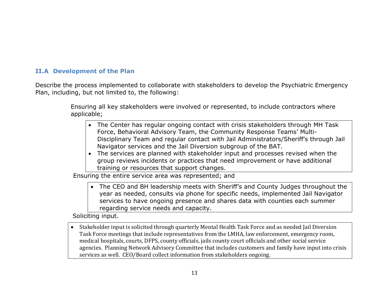#### <span id="page-12-0"></span>**II.A Development of the Plan**

Describe the process implemented to collaborate with stakeholders to develop the Psychiatric Emergency Plan, including, but not limited to, the following:

> Ensuring all key stakeholders were involved or represented, to include contractors where applicable;

- The Center has regular ongoing contact with crisis stakeholders through MH Task Force, Behavioral Advisory Team, the Community Response Teams' Multi-Disciplinary Team and regular contact with Jail Administrators/Sheriff's through Jail Navigator services and the Jail Diversion subgroup of the BAT.
- The services are planned with stakeholder input and processes revised when the group reviews incidents or practices that need improvement or have additional training or resources that support changes.

Ensuring the entire service area was represented; and

• The CEO and BH leadership meets with Sheriff's and County Judges throughout the year as needed, consults via phone for specific needs, implemented Jail Navigator services to have ongoing presence and shares data with counties each summer regarding service needs and capacity.

Soliciting input.

• Stakeholder input is solicited through quarterly Mental Health Task Force and as needed Jail Diversion Task Force meetings that include representatives from the LMHA, law enforcement, emergency room, medical hospitals, courts, DFPS, county officials, jails county court officials and other social service agencies. Planning Network Advisory Committee that includes customers and family have input into crisis services as well. CEO/Board collect information from stakeholders ongoing.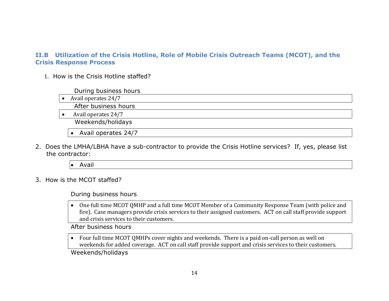#### <span id="page-13-0"></span>**II.B Utilization of the Crisis Hotline, Role of Mobile Crisis Outreach Teams (MCOT), and the Crisis Response Process**

1. How is the Crisis Hotline staffed?

During business hours

• Avail operates 24/7

After business hours

• Avail operates 24/7

Weekends/holidays

• Avail operates 24/7

2. Does the LMHA/LBHA have a sub-contractor to provide the Crisis Hotline services? If, yes, please list the contractor:

• Avail

3. How is the MCOT staffed?

During business hours

• One full time MCOT QMHP and a full time MCOT Member of a Community Response Team (with police and fire). Case managers provide crisis services to their assigned customers. ACT on call staff provide support and crisis services to their customers.

After business hours

• Four full time MCOT QMHPs cover nights and weekends. There is a paid on-call person as well on weekends for added coverage. ACT on call staff provide support and crisis services to their customers.

Weekends/holidays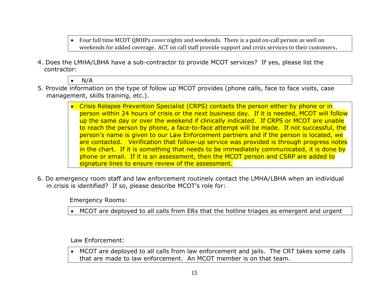- Four full time MCOT QMHPs cover nights and weekends. There is a paid on-call person as well on weekends for added coverage. ACT on call staff provide support and crisis services to their customers.
- 4. Does the LMHA/LBHA have a sub-contractor to provide MCOT services? If yes, please list the contractor:

 $\bullet$  N/A

- 5. Provide information on the type of follow up MCOT provides (phone calls, face to face visits, case management, skills training, etc.).
	- Crisis Relapse Prevention Specialist (CRPS) contacts the person either by phone or in person within 24 hours of crisis or the next business day. If it is needed, MCOT will follow up the same day or over the weekend if clinically indicated. If CRPS or MCOT are unable to reach the person by phone, a face-to-face attempt will be made. If not successful, the person's name is given to our Law Enforcement partners and if the person is located, we are contacted. Verification that follow-up service was provided is through progress notes in the chart. If it is something that needs to be immediately communicated, it is done by phone or email. If it is an assessment, then the MCOT person and CSRP are added to signature lines to ensure review of the assessment.
- 6. Do emergency room staff and law enforcement routinely contact the LMHA/LBHA when an individual in crisis is identified? If so, please describe MCOT's role for:

Emergency Rooms:

• MCOT are deployed to all calls from ERs that the hotline triages as emergent and urgent

Law Enforcement:

• MCOT are deployed to all calls from law enforcement and jails. The CRT takes some calls that are made to law enforcement. An MCOT member is on that team.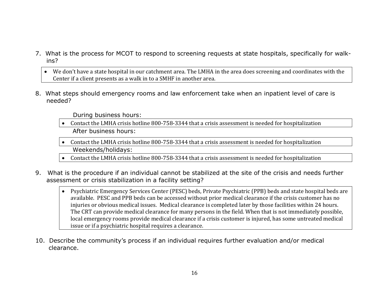- 7. What is the process for MCOT to respond to screening requests at state hospitals, specifically for walkins?
	- We don't have a state hospital in our catchment area. The LMHA in the area does screening and coordinates with the Center if a client presents as a walk in to a SMHF in another area.
- 8. What steps should emergency rooms and law enforcement take when an inpatient level of care is needed?

During business hours:

- Contact the LMHA crisis hotline 800-758-3344 that a crisis assessment is needed for hospitalization After business hours:
- Contact the LMHA crisis hotline 800-758-3344 that a crisis assessment is needed for hospitalization Weekends/holidays:
- Contact the LMHA crisis hotline 800-758-3344 that a crisis assessment is needed for hospitalization
- 9. What is the procedure if an individual cannot be stabilized at the site of the crisis and needs further assessment or crisis stabilization in a facility setting?
	- Psychiatric Emergency Services Center (PESC) beds, Private Psychiatric (PPB) beds and state hospital beds are available. PESC and PPB beds can be accessed without prior medical clearance if the crisis customer has no injuries or obvious medical issues. Medical clearance is completed later by those facilities within 24 hours. The CRT can provide medical clearance for many persons in the field. When that is not immediately possible, local emergency rooms provide medical clearance if a crisis customer is injured, has some untreated medical issue or if a psychiatric hospital requires a clearance.
- 10. Describe the community's process if an individual requires further evaluation and/or medical clearance.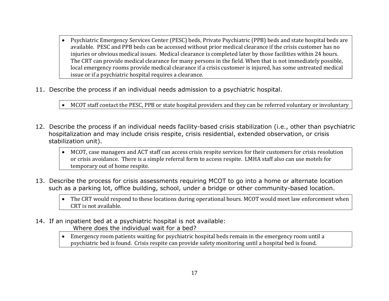- Psychiatric Emergency Services Center (PESC) beds, Private Psychiatric (PPB) beds and state hospital beds are available. PESC and PPB beds can be accessed without prior medical clearance if the crisis customer has no injuries or obvious medical issues. Medical clearance is completed later by those facilities within 24 hours. The CRT can provide medical clearance for many persons in the field. When that is not immediately possible, local emergency rooms provide medical clearance if a crisis customer is injured, has some untreated medical issue or if a psychiatric hospital requires a clearance.
- 11. Describe the process if an individual needs admission to a psychiatric hospital.

• MCOT staff contact the PESC, PPB or state hospital providers and they can be referred voluntary or involuntary

- 12. Describe the process if an individual needs facility-based crisis stabilization (i.e., other than psychiatric hospitalization and may include crisis respite, crisis residential, extended observation, or crisis stabilization unit).
	- MCOT, case managers and ACT staff can access crisis respite services for their customers for crisis resolution or crisis avoidance. There is a simple referral form to access respite. LMHA staff also can use motels for temporary out of home respite.
- 13. Describe the process for crisis assessments requiring MCOT to go into a home or alternate location such as a parking lot, office building, school, under a bridge or other community-based location.

• The CRT would respond to these locations during operational hours. MCOT would meet law enforcement when CRT is not available.

14. If an inpatient bed at a psychiatric hospital is not available: Where does the individual wait for a bed?

> • Emergency room patients waiting for psychiatric hospital beds remain in the emergency room until a psychiatric bed is found. Crisis respite can provide safety monitoring until a hospital bed is found.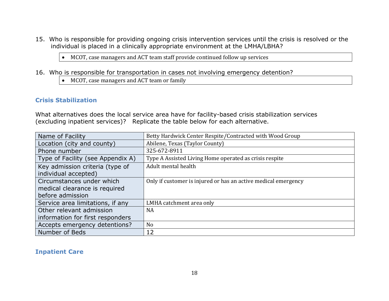15. Who is responsible for providing ongoing crisis intervention services until the crisis is resolved or the individual is placed in a clinically appropriate environment at the LMHA/LBHA?

• MCOT, case managers and ACT team staff provide continued follow up services

- 16. Who is responsible for transportation in cases not involving emergency detention?
	- MCOT, case managers and ACT team or family

#### **Crisis Stabilization**

What alternatives does the local service area have for facility-based crisis stabilization services (excluding inpatient services)? Replicate the table below for each alternative.

| Name of Facility                                                               | Betty Hardwick Center Respite/Contracted with Wood Group       |
|--------------------------------------------------------------------------------|----------------------------------------------------------------|
| Location (city and county)                                                     | Abilene, Texas (Taylor County)                                 |
| Phone number                                                                   | 325-672-8911                                                   |
| Type of Facility (see Appendix A)                                              | Type A Assisted Living Home operated as crisis respite         |
| Key admission criteria (type of<br>individual accepted)                        | Adult mental health                                            |
| Circumstances under which<br>medical clearance is required<br>before admission | Only if customer is injured or has an active medical emergency |
| Service area limitations, if any                                               | LMHA catchment area only                                       |
| Other relevant admission                                                       | <b>NA</b>                                                      |
| information for first responders                                               |                                                                |
| Accepts emergency detentions?                                                  | N <sub>o</sub>                                                 |
| Number of Beds                                                                 | 12                                                             |

#### **Inpatient Care**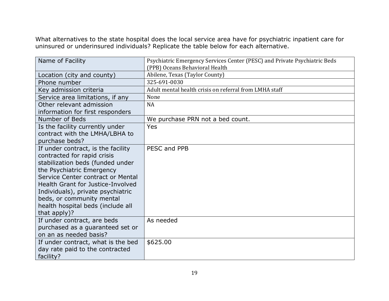What alternatives to the state hospital does the local service area have for psychiatric inpatient care for uninsured or underinsured individuals? Replicate the table below for each alternative.

| Name of Facility                   | Psychiatric Emergency Services Center (PESC) and Private Psychiatric Beds<br>(PPB) Oceans Behavioral Health |
|------------------------------------|-------------------------------------------------------------------------------------------------------------|
| Location (city and county)         | Abilene, Texas (Taylor County)                                                                              |
| Phone number                       | 325-691-0030                                                                                                |
| Key admission criteria             | Adult mental health crisis on referral from LMHA staff                                                      |
| Service area limitations, if any   | None                                                                                                        |
| Other relevant admission           | <b>NA</b>                                                                                                   |
| information for first responders   |                                                                                                             |
| Number of Beds                     | We purchase PRN not a bed count.                                                                            |
| Is the facility currently under    | Yes                                                                                                         |
| contract with the LMHA/LBHA to     |                                                                                                             |
| purchase beds?                     |                                                                                                             |
| If under contract, is the facility | PESC and PPB                                                                                                |
| contracted for rapid crisis        |                                                                                                             |
| stabilization beds (funded under   |                                                                                                             |
| the Psychiatric Emergency          |                                                                                                             |
| Service Center contract or Mental  |                                                                                                             |
| Health Grant for Justice-Involved  |                                                                                                             |
| Individuals), private psychiatric  |                                                                                                             |
| beds, or community mental          |                                                                                                             |
| health hospital beds (include all  |                                                                                                             |
| that apply)?                       |                                                                                                             |
| If under contract, are beds        | As needed                                                                                                   |
| purchased as a guaranteed set or   |                                                                                                             |
| on an as needed basis?             |                                                                                                             |
| If under contract, what is the bed | \$625.00                                                                                                    |
| day rate paid to the contracted    |                                                                                                             |
| facility?                          |                                                                                                             |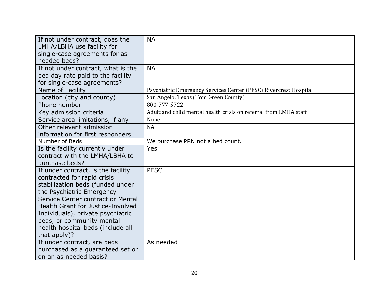<span id="page-19-0"></span>

| If not under contract, does the<br>LMHA/LBHA use facility for<br>single-case agreements for as<br>needed beds?                                                                                                                                                                                                                      | <b>NA</b>                                                        |
|-------------------------------------------------------------------------------------------------------------------------------------------------------------------------------------------------------------------------------------------------------------------------------------------------------------------------------------|------------------------------------------------------------------|
| If not under contract, what is the<br>bed day rate paid to the facility<br>for single-case agreements?                                                                                                                                                                                                                              | <b>NA</b>                                                        |
| Name of Facility                                                                                                                                                                                                                                                                                                                    | Psychiatric Emergency Services Center (PESC) Rivercrest Hospital |
| Location (city and county)                                                                                                                                                                                                                                                                                                          | San Angelo, Texas (Tom Green County)                             |
| Phone number                                                                                                                                                                                                                                                                                                                        | 800-777-5722                                                     |
| Key admission criteria                                                                                                                                                                                                                                                                                                              | Adult and child mental health crisis on referral from LMHA staff |
| Service area limitations, if any                                                                                                                                                                                                                                                                                                    | None                                                             |
| Other relevant admission                                                                                                                                                                                                                                                                                                            | <b>NA</b>                                                        |
| information for first responders                                                                                                                                                                                                                                                                                                    |                                                                  |
| Number of Beds                                                                                                                                                                                                                                                                                                                      | We purchase PRN not a bed count.                                 |
| Is the facility currently under<br>contract with the LMHA/LBHA to<br>purchase beds?                                                                                                                                                                                                                                                 | Yes                                                              |
| If under contract, is the facility<br>contracted for rapid crisis<br>stabilization beds (funded under<br>the Psychiatric Emergency<br>Service Center contract or Mental<br>Health Grant for Justice-Involved<br>Individuals), private psychiatric<br>beds, or community mental<br>health hospital beds (include all<br>that apply)? | <b>PESC</b>                                                      |
| If under contract, are beds<br>purchased as a guaranteed set or<br>on an as needed basis?                                                                                                                                                                                                                                           | As needed                                                        |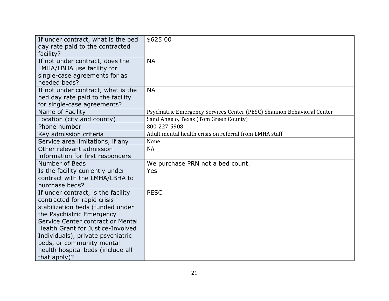| If under contract, what is the bed<br>day rate paid to the contracted<br>facility?                                                                                                                                                                                                                                                  | \$625.00                                                               |
|-------------------------------------------------------------------------------------------------------------------------------------------------------------------------------------------------------------------------------------------------------------------------------------------------------------------------------------|------------------------------------------------------------------------|
| If not under contract, does the<br>LMHA/LBHA use facility for<br>single-case agreements for as<br>needed beds?                                                                                                                                                                                                                      | <b>NA</b>                                                              |
| If not under contract, what is the<br>bed day rate paid to the facility<br>for single-case agreements?                                                                                                                                                                                                                              | <b>NA</b>                                                              |
| Name of Facility                                                                                                                                                                                                                                                                                                                    | Psychiatric Emergency Services Center (PESC) Shannon Behavioral Center |
| Location (city and county)                                                                                                                                                                                                                                                                                                          | Sand Angelo, Texas (Tom Green County)                                  |
| Phone number                                                                                                                                                                                                                                                                                                                        | 800-227-5908                                                           |
| Key admission criteria                                                                                                                                                                                                                                                                                                              | Adult mental health crisis on referral from LMHA staff                 |
| Service area limitations, if any                                                                                                                                                                                                                                                                                                    | None                                                                   |
| Other relevant admission<br>information for first responders                                                                                                                                                                                                                                                                        | <b>NA</b>                                                              |
| Number of Beds                                                                                                                                                                                                                                                                                                                      | We purchase PRN not a bed count.                                       |
| Is the facility currently under<br>contract with the LMHA/LBHA to<br>purchase beds?                                                                                                                                                                                                                                                 | Yes                                                                    |
| If under contract, is the facility<br>contracted for rapid crisis<br>stabilization beds (funded under<br>the Psychiatric Emergency<br>Service Center contract or Mental<br>Health Grant for Justice-Involved<br>Individuals), private psychiatric<br>beds, or community mental<br>health hospital beds (include all<br>that apply)? | <b>PESC</b>                                                            |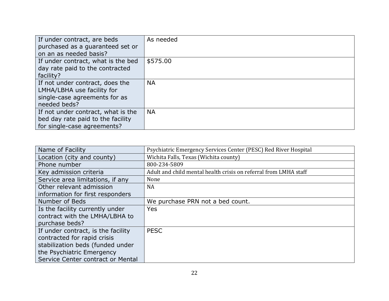| If under contract, are beds<br>purchased as a guaranteed set or<br>on an as needed basis?                      | As needed |
|----------------------------------------------------------------------------------------------------------------|-----------|
| If under contract, what is the bed<br>day rate paid to the contracted<br>facility?                             | \$575.00  |
| If not under contract, does the<br>LMHA/LBHA use facility for<br>single-case agreements for as<br>needed beds? | <b>NA</b> |
| If not under contract, what is the<br>bed day rate paid to the facility<br>for single-case agreements?         | <b>NA</b> |

| Name of Facility                   | Psychiatric Emergency Services Center (PESC) Red River Hospital  |
|------------------------------------|------------------------------------------------------------------|
| Location (city and county)         | Wichita Falls, Texas (Wichita county)                            |
| Phone number                       | 800-234-5809                                                     |
| Key admission criteria             | Adult and child mental health crisis on referral from LMHA staff |
| Service area limitations, if any   | None                                                             |
| Other relevant admission           | <b>NA</b>                                                        |
| information for first responders   |                                                                  |
| Number of Beds                     | We purchase PRN not a bed count.                                 |
| Is the facility currently under    | Yes                                                              |
| contract with the LMHA/LBHA to     |                                                                  |
| purchase beds?                     |                                                                  |
| If under contract, is the facility | <b>PESC</b>                                                      |
| contracted for rapid crisis        |                                                                  |
| stabilization beds (funded under   |                                                                  |
| the Psychiatric Emergency          |                                                                  |
| Service Center contract or Mental  |                                                                  |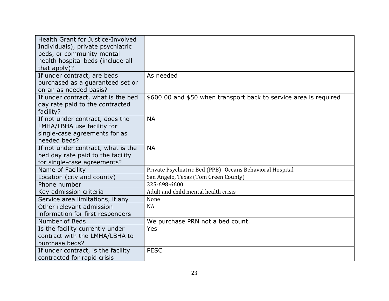| Health Grant for Justice-Involved<br>Individuals), private psychiatric<br>beds, or community mental<br>health hospital beds (include all |                                                                   |
|------------------------------------------------------------------------------------------------------------------------------------------|-------------------------------------------------------------------|
| that apply)?                                                                                                                             |                                                                   |
| If under contract, are beds<br>purchased as a guaranteed set or<br>on an as needed basis?                                                | As needed                                                         |
| If under contract, what is the bed<br>day rate paid to the contracted<br>facility?                                                       | \$600.00 and \$50 when transport back to service area is required |
| If not under contract, does the<br>LMHA/LBHA use facility for<br>single-case agreements for as<br>needed beds?                           | <b>NA</b>                                                         |
| If not under contract, what is the<br>bed day rate paid to the facility<br>for single-case agreements?                                   | <b>NA</b>                                                         |
| Name of Facility                                                                                                                         | Private Psychiatric Bed (PPB) - Oceans Behavioral Hospital        |
| Location (city and county)                                                                                                               | San Angelo, Texas (Tom Green County)                              |
| Phone number                                                                                                                             | 325-698-6600                                                      |
| Key admission criteria                                                                                                                   | Adult and child mental health crisis                              |
| Service area limitations, if any                                                                                                         | None                                                              |
| Other relevant admission<br>information for first responders                                                                             | <b>NA</b>                                                         |
| Number of Beds                                                                                                                           | We purchase PRN not a bed count.                                  |
| Is the facility currently under<br>contract with the LMHA/LBHA to<br>purchase beds?                                                      | <b>Yes</b>                                                        |
| If under contract, is the facility<br>contracted for rapid crisis                                                                        | <b>PESC</b>                                                       |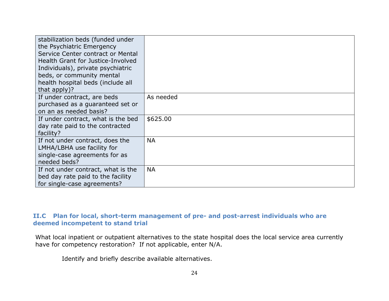| stabilization beds (funded under<br>the Psychiatric Emergency<br>Service Center contract or Mental<br>Health Grant for Justice-Involved<br>Individuals), private psychiatric<br>beds, or community mental<br>health hospital beds (include all<br>that apply)? |           |
|----------------------------------------------------------------------------------------------------------------------------------------------------------------------------------------------------------------------------------------------------------------|-----------|
| If under contract, are beds<br>purchased as a guaranteed set or<br>on an as needed basis?                                                                                                                                                                      | As needed |
| If under contract, what is the bed<br>day rate paid to the contracted<br>facility?                                                                                                                                                                             | \$625.00  |
| If not under contract, does the<br>LMHA/LBHA use facility for<br>single-case agreements for as<br>needed beds?                                                                                                                                                 | <b>NA</b> |
| If not under contract, what is the<br>bed day rate paid to the facility<br>for single-case agreements?                                                                                                                                                         | <b>NA</b> |

#### **II.C Plan for local, short-term management of pre- and post-arrest individuals who are deemed incompetent to stand trial**

What local inpatient or outpatient alternatives to the state hospital does the local service area currently have for competency restoration? If not applicable, enter N/A.

Identify and briefly describe available alternatives.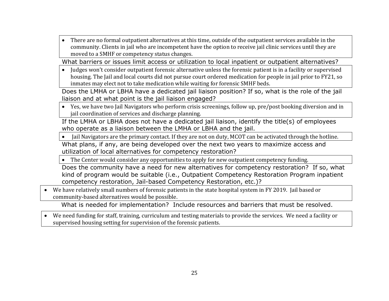• There are no formal outpatient alternatives at this time, outside of the outpatient services available in the community. Clients in jail who are incompetent have the option to receive jail clinic services until they are moved to a SMHF or competency status changes.

What barriers or issues limit access or utilization to local inpatient or outpatient alternatives?

• Judges won't consider outpatient forensic alternative unless the forensic patient is in a facility or supervised housing. The Jail and local courts did not pursue court ordered medication for people in jail prior to FY21, so inmates may elect not to take medication while waiting for forensic SMHF beds.

Does the LMHA or LBHA have a dedicated jail liaison position? If so, what is the role of the jail liaison and at what point is the jail liaison engaged?

• Yes, we have two Jail Navigators who perform crisis screenings, follow up, pre/post booking diversion and in jail coordination of services and discharge planning.

If the LMHA or LBHA does not have a dedicated jail liaison, identify the title(s) of employees who operate as a liaison between the LMHA or LBHA and the jail.

• Jail Navigators are the primary contact. If they are not on duty, MCOT can be activated through the hotline.

What plans, if any, are being developed over the next two years to maximize access and utilization of local alternatives for competency restoration?

• The Center would consider any opportunities to apply for new outpatient competency funding.

Does the community have a need for new alternatives for competency restoration? If so, what kind of program would be suitable (i.e., Outpatient Competency Restoration Program inpatient competency restoration, Jail-based Competency Restoration, etc.)?

• We have relatively small numbers of forensic patients in the state hospital system in FY 2019. Jail based or community-based alternatives would be possible.

What is needed for implementation? Include resources and barriers that must be resolved.

• We need funding for staff, training, curriculum and testing materials to provide the services. We need a facility or supervised housing setting for supervision of the forensic patients.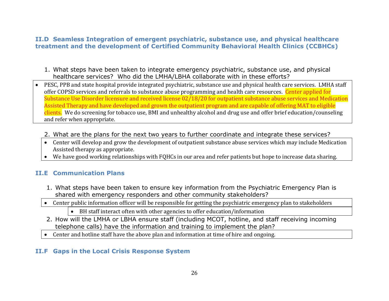#### <span id="page-25-0"></span>**II.D Seamless Integration of emergent psychiatric, substance use, and physical healthcare treatment and the development of Certified Community Behavioral Health Clinics (CCBHCs)**

- 1. What steps have been taken to integrate emergency psychiatric, substance use, and physical healthcare services? Who did the LMHA/LBHA collaborate with in these efforts?
- PESC, PPB and state hospital provide integrated psychiatric, substance use and physical health care services. LMHA staff offer COPSD services and referrals to substance abuse programming and health care resources. Center applied for Substance Use Disorder licensure and received license 02/18/20 for outpatient substance abuse services and Medication Assisted Therapy and have developed and grown the outpatient program and are capable of offering MAT to eligible clients. We do screening for tobacco use, BMI and unhealthy alcohol and drug use and offer brief education/counseling and refer when appropriate.
	- 2. What are the plans for the next two years to further coordinate and integrate these services?
	- Center will develop and grow the development of outpatient substance abuse services which may include Medication Assisted therapy as appropriate.
	- We have good working relationships with FQHCs in our area and refer patients but hope to increase data sharing.

#### <span id="page-25-1"></span>**II.E Communication Plans**

- 1. What steps have been taken to ensure key information from the Psychiatric Emergency Plan is shared with emergency responders and other community stakeholders?
- Center public information officer will be responsible for getting the psychiatric emergency plan to stakeholders
	- BH staff interact often with other agencies to offer education/information
- 2. How will the LMHA or LBHA ensure staff (including MCOT, hotline, and staff receiving incoming telephone calls) have the information and training to implement the plan?
- Center and hotline staff have the above plan and information at time of hire and ongoing.

#### <span id="page-25-2"></span>**II.F Gaps in the Local Crisis Response System**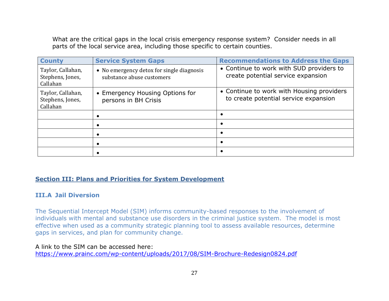What are the critical gaps in the local crisis emergency response system? Consider needs in all parts of the local service area, including those specific to certain counties.

| <b>County</b>                                     | <b>Service System Gaps</b>                                             | <b>Recommendations to Address the Gaps</b>                                         |  |
|---------------------------------------------------|------------------------------------------------------------------------|------------------------------------------------------------------------------------|--|
| Taylor, Callahan,<br>Stephens, Jones,<br>Callahan | • No emergency detox for single diagnosis<br>substance abuse customers | • Continue to work with SUD providers to<br>create potential service expansion     |  |
| Taylor, Callahan,<br>Stephens, Jones,<br>Callahan | • Emergency Housing Options for<br>persons in BH Crisis                | • Continue to work with Housing providers<br>to create potential service expansion |  |
|                                                   |                                                                        |                                                                                    |  |
|                                                   |                                                                        |                                                                                    |  |
|                                                   |                                                                        |                                                                                    |  |
|                                                   |                                                                        |                                                                                    |  |
|                                                   |                                                                        |                                                                                    |  |

#### <span id="page-26-1"></span><span id="page-26-0"></span>**Section III: Plans and Priorities for System Development**

#### **III.A Jail Diversion**

The Sequential Intercept Model (SIM) informs community-based responses to the involvement of individuals with mental and substance use disorders in the criminal justice system. The model is most effective when used as a community strategic planning tool to assess available resources, determine gaps in services, and plan for community change.

#### A link to the SIM can be accessed here:

<https://www.prainc.com/wp-content/uploads/2017/08/SIM-Brochure-Redesign0824.pdf>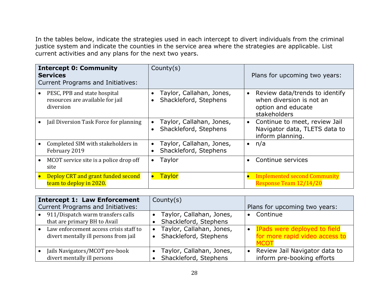In the tables below, indicate the strategies used in each intercept to divert individuals from the criminal justice system and indicate the counties in the service area where the strategies are applicable. List current activities and any plans for the next two years.

| <b>Intercept 0: Community</b><br><b>Services</b><br><b>Current Programs and Initiatives:</b> | Country(s)                                                                  | Plans for upcoming two years:                                                                                 |
|----------------------------------------------------------------------------------------------|-----------------------------------------------------------------------------|---------------------------------------------------------------------------------------------------------------|
| PESC, PPB and state hospital<br>resources are available for jail<br>diversion                | Taylor, Callahan, Jones,<br>$\bullet$<br>Shackleford, Stephens<br>$\bullet$ | Review data/trends to identify<br>$\bullet$<br>when diversion is not an<br>option and educate<br>stakeholders |
| Jail Diversion Task Force for planning                                                       | Taylor, Callahan, Jones,<br>Shackleford, Stephens<br>$\bullet$              | Continue to meet, review Jail<br>$\bullet$<br>Navigator data, TLETS data to<br>inform planning.               |
| Completed SIM with stakeholders in<br>February 2019                                          | Taylor, Callahan, Jones,<br>$\bullet$<br>Shackleford, Stephens<br>$\bullet$ | n/a<br>$\bullet$                                                                                              |
| MCOT service site is a police drop off<br>site                                               | Taylor<br>$\bullet$                                                         | Continue services                                                                                             |
| Deploy CRT and grant funded second<br>team to deploy in 2020.                                | <b>Taylor</b>                                                               | <b>Implemented second Community</b><br>Response Team 12/14/20                                                 |

| <b>Intercept 1: Law Enforcement</b><br><b>Current Programs and Initiatives:</b> | County $(s)$<br>Plans for upcoming two years: |                                                     |          |                                                                         |
|---------------------------------------------------------------------------------|-----------------------------------------------|-----------------------------------------------------|----------|-------------------------------------------------------------------------|
| 911/Dispatch warm transfers calls<br>that are primary BH to Avail               |                                               | • Taylor, Callahan, Jones,<br>Shackleford, Stephens | Continue |                                                                         |
| Law enforcement access crisis staff to<br>divert mentally ill persons from jail |                                               | • Taylor, Callahan, Jones,<br>Shackleford, Stephens |          | IPads were deployed to field<br>for more rapid video access to<br>ורחזו |
| Jails Navigators/MCOT pre-book<br>divert mentally ill persons                   |                                               | Taylor, Callahan, Jones,<br>Shackleford, Stephens   |          | Review Jail Navigator data to<br>inform pre-booking efforts             |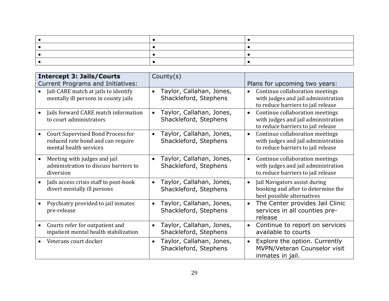| <b>Intercept 3: Jails/Courts</b>                                                                 | County(s)                                                      |                                                                                                                           |
|--------------------------------------------------------------------------------------------------|----------------------------------------------------------------|---------------------------------------------------------------------------------------------------------------------------|
| <b>Current Programs and Initiatives:</b>                                                         |                                                                | Plans for upcoming two years:                                                                                             |
| Jail-CARE match at jails to identify<br>mentally ill persons in county jails                     | Taylor, Callahan, Jones,<br>$\bullet$<br>Shackleford, Stephens | Continue collaboration meetings<br>$\bullet$<br>with judges and jail administration<br>to reduce barriers to jail release |
| Jails forward CARE match information<br>to court administrators                                  | Taylor, Callahan, Jones,<br>$\bullet$<br>Shackleford, Stephens | Continue collaboration meetings<br>$\bullet$<br>with judges and jail administration<br>to reduce barriers to jail release |
| Court Supervised Bond Process for<br>reduced rate bond and can require<br>mental health services | Taylor, Callahan, Jones,<br>$\bullet$<br>Shackleford, Stephens | Continue collaboration meetings<br>$\bullet$<br>with judges and jail administration<br>to reduce barriers to jail release |
| Meeting with judges and jail<br>administration to discuss barriers to<br>diversion               | Taylor, Callahan, Jones,<br>$\bullet$<br>Shackleford, Stephens | Continue collaboration meetings<br>$\bullet$<br>with judges and jail administration<br>to reduce barriers to jail release |
| Jails access crisis staff to post-book<br>divert mentally ill persons                            | Taylor, Callahan, Jones,<br>$\bullet$<br>Shackleford, Stephens | Jail Navigators assist during<br>$\bullet$<br>booking and after to determine the<br>best possible alternatives            |
| Psychiatry provided to jail inmates<br>pre-release                                               | Taylor, Callahan, Jones,<br>$\bullet$<br>Shackleford, Stephens | The Center provides Jail Clinic<br>$\bullet$<br>services in all counties pre-<br>release                                  |
| Courts refer for outpatient and<br>inpatient mental health stabilization                         | Taylor, Callahan, Jones,<br>$\bullet$<br>Shackleford, Stephens | Continue to report on services<br>$\bullet$<br>available to courts                                                        |
| Veterans court docket                                                                            | Taylor, Callahan, Jones,<br>$\bullet$<br>Shackleford, Stephens | Explore the option. Currently<br>$\bullet$<br>MVPN/Veteran Counselor visit<br>inmates in jail.                            |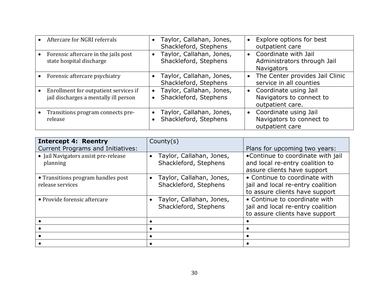| Aftercare for NGRI referrals                                                   |           | Taylor, Callahan, Jones,<br>Shackleford, Stephens |           | • Explore options for best<br>outpatient care                              |
|--------------------------------------------------------------------------------|-----------|---------------------------------------------------|-----------|----------------------------------------------------------------------------|
| Forensic aftercare in the jails post<br>state hospital discharge               | $\bullet$ | Taylor, Callahan, Jones,<br>Shackleford, Stephens |           | • Coordinate with Jail<br>Administrators through Jail<br><b>Navigators</b> |
| Forensic aftercare psychiatry                                                  |           | Taylor, Callahan, Jones,<br>Shackleford, Stephens | $\bullet$ | The Center provides Jail Clinic<br>service in all counties                 |
| Enrollment for outpatient services if<br>jail discharges a mentally ill person | $\bullet$ | Taylor, Callahan, Jones,<br>Shackleford, Stephens |           | • Coordinate using Jail<br>Navigators to connect to<br>outpatient care.    |
| Transitions program connects pre-<br>release                                   |           | Taylor, Callahan, Jones,<br>Shackleford, Stephens |           | • Coordinate using Jail<br>Navigators to connect to<br>outpatient care     |

| <b>Intercept 4: Reentry</b>                            | County $(s)$                                                   |                                                                                                      |
|--------------------------------------------------------|----------------------------------------------------------------|------------------------------------------------------------------------------------------------------|
| <b>Current Programs and Initiatives:</b>               |                                                                | Plans for upcoming two years:                                                                        |
| • Jail Navigators assist pre-release<br>planning       | Taylor, Callahan, Jones,<br>Shackleford, Stephens              | •Continue to coordinate with jail<br>and local re-entry coalition to<br>assure clients have support  |
| • Transitions program handles post<br>release services | Taylor, Callahan, Jones,<br>$\bullet$<br>Shackleford, Stephens | • Continue to coordinate with<br>jail and local re-entry coalition<br>to assure clients have support |
| • Provide forensic aftercare                           | Taylor, Callahan, Jones,<br>Shackleford, Stephens              | • Continue to coordinate with<br>jail and local re-entry coalition<br>to assure clients have support |
|                                                        |                                                                |                                                                                                      |
|                                                        |                                                                |                                                                                                      |
|                                                        |                                                                |                                                                                                      |
|                                                        |                                                                |                                                                                                      |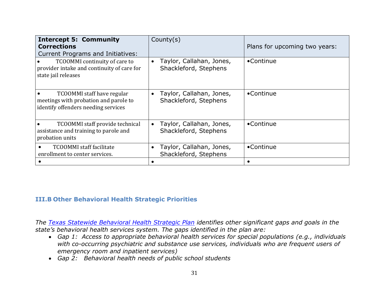| <b>Intercept 5: Community</b><br><b>Corrections</b><br><b>Current Programs and Initiatives:</b>            | Country(s)                                                     | Plans for upcoming two years: |
|------------------------------------------------------------------------------------------------------------|----------------------------------------------------------------|-------------------------------|
| TCOOMMI continuity of care to<br>provider intake and continuity of care for<br>state jail releases         | Taylor, Callahan, Jones,<br>$\bullet$<br>Shackleford, Stephens | •Continue                     |
| TCOOMMI staff have regular<br>meetings with probation and parole to<br>identify offenders needing services | Taylor, Callahan, Jones,<br>Shackleford, Stephens              | •Continue                     |
| TCOOMMI staff provide technical<br>assistance and training to parole and<br>probation units                | Taylor, Callahan, Jones,<br>$\bullet$<br>Shackleford, Stephens | •Continue                     |
| <b>TCOOMMI</b> staff facilitate<br>enrollment to center services.                                          | Taylor, Callahan, Jones,<br>Shackleford, Stephens              | •Continue                     |
|                                                                                                            |                                                                |                               |

#### <span id="page-30-0"></span>**III.B Other Behavioral Health Strategic Priorities**

*The [Texas Statewide Behavioral Health Strategic Plan](https://hhs.texas.gov/sites/default/files/050216-statewide-behavioral-health-strategic-plan.pdf) identifies other significant gaps and goals in the state's behavioral health services system. The gaps identified in the plan are:*

- *Gap 1: Access to appropriate behavioral health services for special populations (e.g., individuals with co-occurring psychiatric and substance use services, individuals who are frequent users of emergency room and inpatient services)*
- *Gap 2: Behavioral health needs of public school students*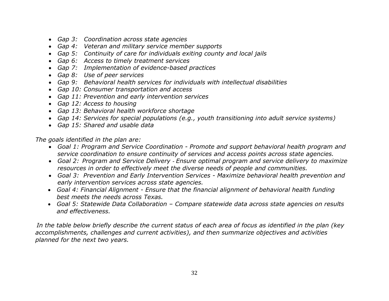- *Gap 3: Coordination across state agencies*
- *Gap 4: Veteran and military service member supports*
- *Gap 5: Continuity of care for individuals exiting county and local jails*
- *Gap 6: Access to timely treatment services*
- *Gap 7: Implementation of evidence-based practices*
- *Gap 8: Use of peer services*
- *Gap 9: Behavioral health services for individuals with intellectual disabilities*
- *Gap 10: Consumer transportation and access*
- *Gap 11: Prevention and early intervention services*
- *Gap 12: Access to housing*
- *Gap 13: Behavioral health workforce shortage*
- *Gap 14: Services for special populations (e.g., youth transitioning into adult service systems)*
- *Gap 15: Shared and usable data*

*The goals identified in the plan are:*

- *Goal 1: Program and Service Coordination - Promote and support behavioral health program and service coordination to ensure continuity of services and access points across state agencies.*
- *Goal 2: Program and Service Delivery - Ensure optimal program and service delivery to maximize resources in order to effectively meet the diverse needs of people and communities.*
- *Goal 3: Prevention and Early Intervention Services - Maximize behavioral health prevention and early intervention services across state agencies.*
- *Goal 4: Financial Alignment - Ensure that the financial alignment of behavioral health funding best meets the needs across Texas.*
- *Goal 5: Statewide Data Collaboration – Compare statewide data across state agencies on results and effectiveness.*

*In the table below briefly describe the current status of each area of focus as identified in the plan (key accomplishments, challenges and current activities), and then summarize objectives and activities planned for the next two years.*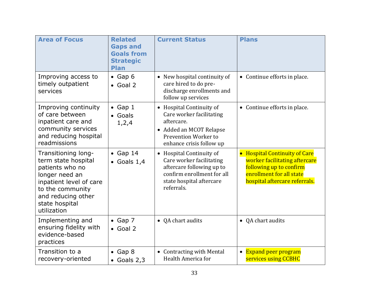| <b>Area of Focus</b>                                                                                                                                                                  | <b>Related</b><br><b>Gaps and</b><br><b>Goals from</b><br><b>Strategic</b><br><b>Plan</b> | <b>Current Status</b>                                                                                                                                                       | <b>Plans</b>                                                                                                                                           |
|---------------------------------------------------------------------------------------------------------------------------------------------------------------------------------------|-------------------------------------------------------------------------------------------|-----------------------------------------------------------------------------------------------------------------------------------------------------------------------------|--------------------------------------------------------------------------------------------------------------------------------------------------------|
| Improving access to<br>timely outpatient<br>services                                                                                                                                  | $\bullet$ Gap 6<br>$\bullet$ Goal 2                                                       | • New hospital continuity of<br>care hired to do pre-<br>discharge enrollments and<br>follow up services                                                                    | • Continue efforts in place.                                                                                                                           |
| Improving continuity<br>of care between<br>inpatient care and<br>community services<br>and reducing hospital<br>readmissions                                                          | $\bullet$ Gap 1<br>• Goals<br>1, 2, 4                                                     | • Hospital Continuity of<br>Care worker facilitating<br>aftercare.<br>• Added an MCOT Relapse<br>Prevention Worker to<br>enhance crisis follow up                           | • Continue efforts in place.                                                                                                                           |
| Transitioning long-<br>term state hospital<br>patients who no<br>longer need an<br>inpatient level of care<br>to the community<br>and reducing other<br>state hospital<br>utilization | $\bullet$ Gap 14<br>$\bullet$ Goals 1,4                                                   | <b>Hospital Continuity of</b><br>$\bullet$<br>Care worker facilitating<br>aftercare following up to<br>confirm enrollment for all<br>state hospital aftercare<br>referrals. | • Hospital Continuity of Care<br>worker facilitating aftercare<br>following up to confirm<br>enrollment for all state<br>hospital aftercare referrals. |
| Implementing and<br>ensuring fidelity with<br>evidence-based<br>practices                                                                                                             | $\bullet$ Gap 7<br>$\bullet$ Goal 2                                                       | • QA chart audits                                                                                                                                                           | • QA chart audits                                                                                                                                      |
| Transition to a<br>recovery-oriented                                                                                                                                                  | $\bullet$ Gap 8<br>$\bullet$ Goals 2,3                                                    | • Contracting with Mental<br>Health America for                                                                                                                             | <b>Expand peer program</b><br>$\bullet$<br>services using CCBHC                                                                                        |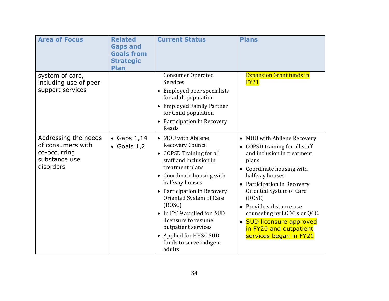| <b>Area of Focus</b>                                                                    | <b>Related</b><br><b>Gaps and</b><br><b>Goals from</b><br><b>Strategic</b><br><b>Plan</b> | <b>Current Status</b>                                                                                                                                                                                                                                                                                                                                                        | <b>Plans</b>                                                                                                                                                                                                                                                                                                                                                       |
|-----------------------------------------------------------------------------------------|-------------------------------------------------------------------------------------------|------------------------------------------------------------------------------------------------------------------------------------------------------------------------------------------------------------------------------------------------------------------------------------------------------------------------------------------------------------------------------|--------------------------------------------------------------------------------------------------------------------------------------------------------------------------------------------------------------------------------------------------------------------------------------------------------------------------------------------------------------------|
| system of care,<br>including use of peer<br>support services                            |                                                                                           | <b>Consumer Operated</b><br>Services<br>Employed peer specialists<br>for adult population<br>• Employed Family Partner<br>for Child population<br>• Participation in Recovery<br>Reads                                                                                                                                                                                       | <b>Expansion Grant funds in</b><br><b>FY21</b>                                                                                                                                                                                                                                                                                                                     |
| Addressing the needs<br>of consumers with<br>co-occurring<br>substance use<br>disorders | • Gaps $1,14$<br>$\bullet$ Goals 1,2                                                      | • MOU with Abilene<br>Recovery Council<br>• COPSD Training for all<br>staff and inclusion in<br>treatment plans<br>• Coordinate housing with<br>halfway houses<br>• Participation in Recovery<br>Oriented System of Care<br>(ROSC)<br>• In FY19 applied for SUD<br>licensure to resume<br>outpatient services<br>• Applied for HHSC SUD<br>funds to serve indigent<br>adults | • MOU with Abilene Recovery<br>• COPSD training for all staff<br>and inclusion in treatment<br>plans<br>• Coordinate housing with<br>halfway houses<br>• Participation in Recovery<br>Oriented System of Care<br>(ROSC)<br>• Provide substance use<br>counseling by LCDC's or QCC.<br>• SUD licensure approved<br>in FY20 and outpatient<br>services began in FY21 |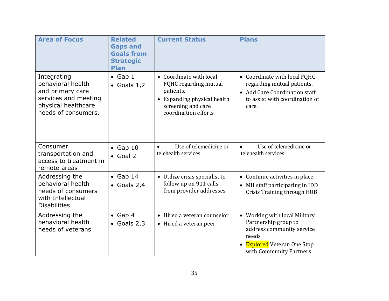| <b>Area of Focus</b>                                                                                                       | <b>Related</b><br><b>Gaps and</b><br><b>Goals from</b><br><b>Strategic</b><br><b>Plan</b> | <b>Current Status</b>                                                                                                                                 | <b>Plans</b>                                                                                                                                               |
|----------------------------------------------------------------------------------------------------------------------------|-------------------------------------------------------------------------------------------|-------------------------------------------------------------------------------------------------------------------------------------------------------|------------------------------------------------------------------------------------------------------------------------------------------------------------|
| Integrating<br>behavioral health<br>and primary care<br>services and meeting<br>physical healthcare<br>needs of consumers. | $\bullet$ Gap 1<br>• Goals $1,2$                                                          | • Coordinate with local<br>FQHC regarding mutual<br>patients.<br>Expanding physical health<br>$\bullet$<br>screening and care<br>coordination efforts | • Coordinate with local FQHC<br>regarding mutual patients.<br>• Add Care Coordination staff<br>to assist with coordination of<br>care.                     |
| Consumer<br>transportation and<br>access to treatment in<br>remote areas                                                   | $\bullet$ Gap 10<br>$\bullet$ Goal 2                                                      | Use of telemedicine or<br>$\bullet$<br>telehealth services                                                                                            | Use of telemedicine or<br>$\bullet$<br>telehealth services                                                                                                 |
| Addressing the<br>behavioral health<br>needs of consumers<br>with Intellectual<br><b>Disabilities</b>                      | $\bullet$ Gap 14<br>$\bullet$ Goals 2,4                                                   | • Utilize crisis specialist to<br>follow up on 911 calls<br>from provider addresses                                                                   | Continue activities in place.<br>$\bullet$<br>• MH staff participating in IDD<br><b>Crisis Training through HUB</b>                                        |
| Addressing the<br>behavioral health<br>needs of veterans                                                                   | Gap 4<br>$\bullet$ Goals 2,3                                                              | Hired a veteran counselor<br>Hired a veteran peer<br>$\bullet$                                                                                        | • Working with local Military<br>Partnership group to<br>address community service<br>needs<br><b>Explored</b> Veteran One Stop<br>with Community Partners |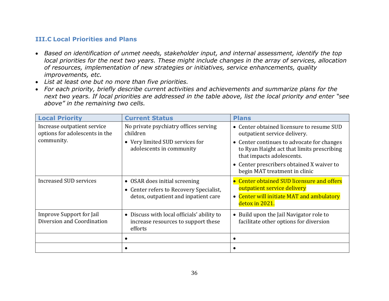#### <span id="page-35-0"></span>**III.C Local Priorities and Plans**

- *Based on identification of unmet needs, stakeholder input, and internal assessment, identify the top local priorities for the next two years. These might include changes in the array of services, allocation of resources, implementation of new strategies or initiatives, service enhancements, quality improvements, etc.*
- *List at least one but no more than five priorities.*
- *For each priority, briefly describe current activities and achievements and summarize plans for the next two years. If local priorities are addressed in the table above, list the local priority and enter "see above" in the remaining two cells.*

| <b>Local Priority</b>                                         | <b>Current Status</b>                                                                        | <b>Plans</b>                                                                                                          |
|---------------------------------------------------------------|----------------------------------------------------------------------------------------------|-----------------------------------------------------------------------------------------------------------------------|
| Increase outpatient service<br>options for adolescents in the | No private psychiatry offices serving<br>children                                            | • Center obtained licensure to resume SUD<br>outpatient service delivery.                                             |
| community.                                                    | • Very limited SUD services for<br>adolescents in community                                  | • Center continues to advocate for changes<br>to Ryan Haight act that limits prescribing<br>that impacts adolescents. |
|                                                               |                                                                                              | • Center prescribers obtained X waiver to<br>begin MAT treatment in clinic                                            |
| <b>Increased SUD services</b>                                 | • OSAR does initial screening<br>• Center refers to Recovery Specialist,                     | • Center obtained SUD licensure and offers<br>outpatient service delivery                                             |
|                                                               | detox, outpatient and inpatient care                                                         | • Center will initiate MAT and ambulatory<br>detox in 2021.                                                           |
| <b>Improve Support for Jail</b><br>Diversion and Coordination | • Discuss with local officials' ability to<br>increase resources to support these<br>efforts | • Build upon the Jail Navigator role to<br>facilitate other options for diversion                                     |
|                                                               |                                                                                              |                                                                                                                       |
|                                                               |                                                                                              |                                                                                                                       |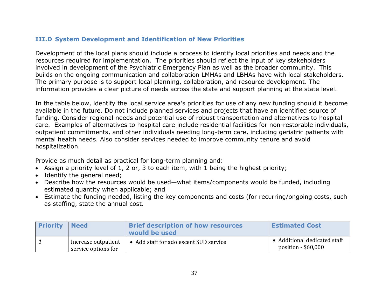#### <span id="page-36-0"></span>**III.D System Development and Identification of New Priorities**

Development of the local plans should include a process to identify local priorities and needs and the resources required for implementation. The priorities should reflect the input of key stakeholders involved in development of the Psychiatric Emergency Plan as well as the broader community. This builds on the ongoing communication and collaboration LMHAs and LBHAs have with local stakeholders. The primary purpose is to support local planning, collaboration, and resource development. The information provides a clear picture of needs across the state and support planning at the state level.

In the table below, identify the local service area's priorities for use of any *new* funding should it become available in the future. Do not include planned services and projects that have an identified source of funding. Consider regional needs and potential use of robust transportation and alternatives to hospital care. Examples of alternatives to hospital care include residential facilities for non-restorable individuals, outpatient commitments, and other individuals needing long-term care, including geriatric patients with mental health needs. Also consider services needed to improve community tenure and avoid hospitalization.

Provide as much detail as practical for long-term planning and:

- Assign a priority level of 1, 2 or, 3 to each item, with 1 being the highest priority;
- Identify the general need;
- Describe how the resources would be used—what items/components would be funded, including estimated quantity when applicable; and
- Estimate the funding needed, listing the key components and costs (for recurring/ongoing costs, such as staffing, state the annual cost.

| <b>Priority</b> | <b>Need</b>                                | <b>Brief description of how resources</b><br>would be used | <b>Estimated Cost</b>                               |
|-----------------|--------------------------------------------|------------------------------------------------------------|-----------------------------------------------------|
|                 | Increase outpatient<br>service options for | • Add staff for adolescent SUD service                     | • Additional dedicated staff<br>position - \$60,000 |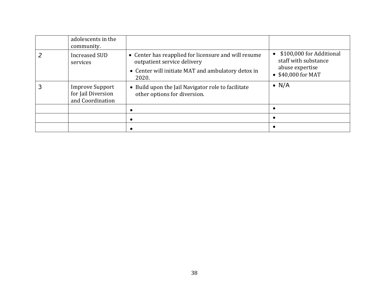| adolescents in the<br>community.                                 |                                                                                                                                                    |                                                                                           |
|------------------------------------------------------------------|----------------------------------------------------------------------------------------------------------------------------------------------------|-------------------------------------------------------------------------------------------|
| <b>Increased SUD</b><br>services                                 | • Center has reapplied for licensure and will resume<br>outpatient service delivery<br>• Center will initiate MAT and ambulatory detox in<br>2020. | \$100,000 for Additional<br>staff with substance<br>abuse expertise<br>• \$40,000 for MAT |
| <b>Improve Support</b><br>for Jail Diversion<br>and Coordination | • Build upon the Jail Navigator role to facilitate<br>other options for diversion.                                                                 | $\bullet$ N/A                                                                             |
|                                                                  |                                                                                                                                                    |                                                                                           |
|                                                                  |                                                                                                                                                    |                                                                                           |
|                                                                  |                                                                                                                                                    |                                                                                           |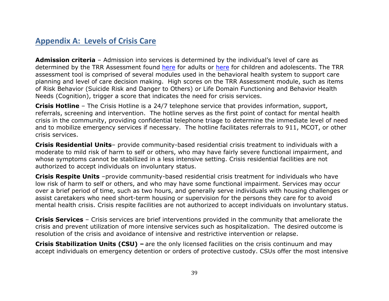### <span id="page-38-0"></span>**Appendix A: Levels of Crisis Care**

**Admission criteria** – Admission into services is determined by the individual's level of care as determined by the TRR Assessment found [here](https://hhs.texas.gov/sites/default/files/documents/doing-business-with-hhs/provider-portal/behavioral-health-provider/um-guidelines/trr-utilization-management-guidelines-child.pdf) for adults or here for children and adolescents. The TRR assessment tool is comprised of several modules used in the behavioral health system to support care planning and level of care decision making. High scores on the TRR Assessment module, such as items of Risk Behavior (Suicide Risk and Danger to Others) or Life Domain Functioning and Behavior Health Needs (Cognition), trigger a score that indicates the need for crisis services.

**Crisis Hotline** – The Crisis Hotline is a 24/7 telephone service that provides information, support, referrals, screening and intervention. The hotline serves as the first point of contact for mental health crisis in the community, providing confidential telephone triage to determine the immediate level of need and to mobilize emergency services if necessary. The hotline facilitates referrals to 911, MCOT, or other crisis services.

**Crisis Residential Units**– provide community-based residential crisis treatment to individuals with a moderate to mild risk of harm to self or others, who may have fairly severe functional impairment, and whose symptoms cannot be stabilized in a less intensive setting. Crisis residential facilities are not authorized to accept individuals on involuntary status.

**Crisis Respite Units** –provide community-based residential crisis treatment for individuals who have low risk of harm to self or others, and who may have some functional impairment. Services may occur over a brief period of time, such as two hours, and generally serve individuals with housing challenges or assist caretakers who need short-term housing or supervision for the persons they care for to avoid mental health crisis. Crisis respite facilities are not authorized to accept individuals on involuntary status.

**Crisis Services** – Crisis services are brief interventions provided in the community that ameliorate the crisis and prevent utilization of more intensive services such as hospitalization. The desired outcome is resolution of the crisis and avoidance of intensive and restrictive intervention or relapse.

**Crisis Stabilization Units (CSU) –** are the only licensed facilities on the crisis continuum and may accept individuals on emergency detention or orders of protective custody. CSUs offer the most intensive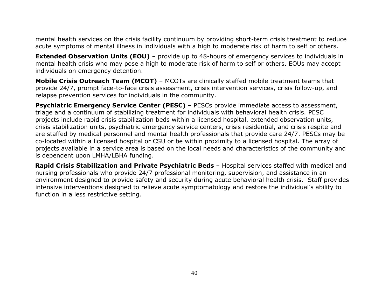mental health services on the crisis facility continuum by providing short-term crisis treatment to reduce acute symptoms of mental illness in individuals with a high to moderate risk of harm to self or others.

**Extended Observation Units (EOU)** – provide up to 48-hours of emergency services to individuals in mental health crisis who may pose a high to moderate risk of harm to self or others. EOUs may accept individuals on emergency detention.

**Mobile Crisis Outreach Team (MCOT)** – MCOTs are clinically staffed mobile treatment teams that provide 24/7, prompt face-to-face crisis assessment, crisis intervention services, crisis follow-up, and relapse prevention services for individuals in the community.

**Psychiatric Emergency Service Center (PESC)** - PESCs provide immediate access to assessment, triage and a continuum of stabilizing treatment for individuals with behavioral health crisis. PESC projects include rapid crisis stabilization beds within a licensed hospital, extended observation units, crisis stabilization units, psychiatric emergency service centers, crisis residential, and crisis respite and are staffed by medical personnel and mental health professionals that provide care 24/7. PESCs may be co-located within a licensed hospital or CSU or be within proximity to a licensed hospital. The array of projects available in a service area is based on the local needs and characteristics of the community and is dependent upon LMHA/LBHA funding.

**Rapid Crisis Stabilization and Private Psychiatric Beds** – Hospital services staffed with medical and nursing professionals who provide 24/7 professional monitoring, supervision, and assistance in an environment designed to provide safety and security during acute behavioral health crisis. Staff provides intensive interventions designed to relieve acute symptomatology and restore the individual's ability to function in a less restrictive setting.